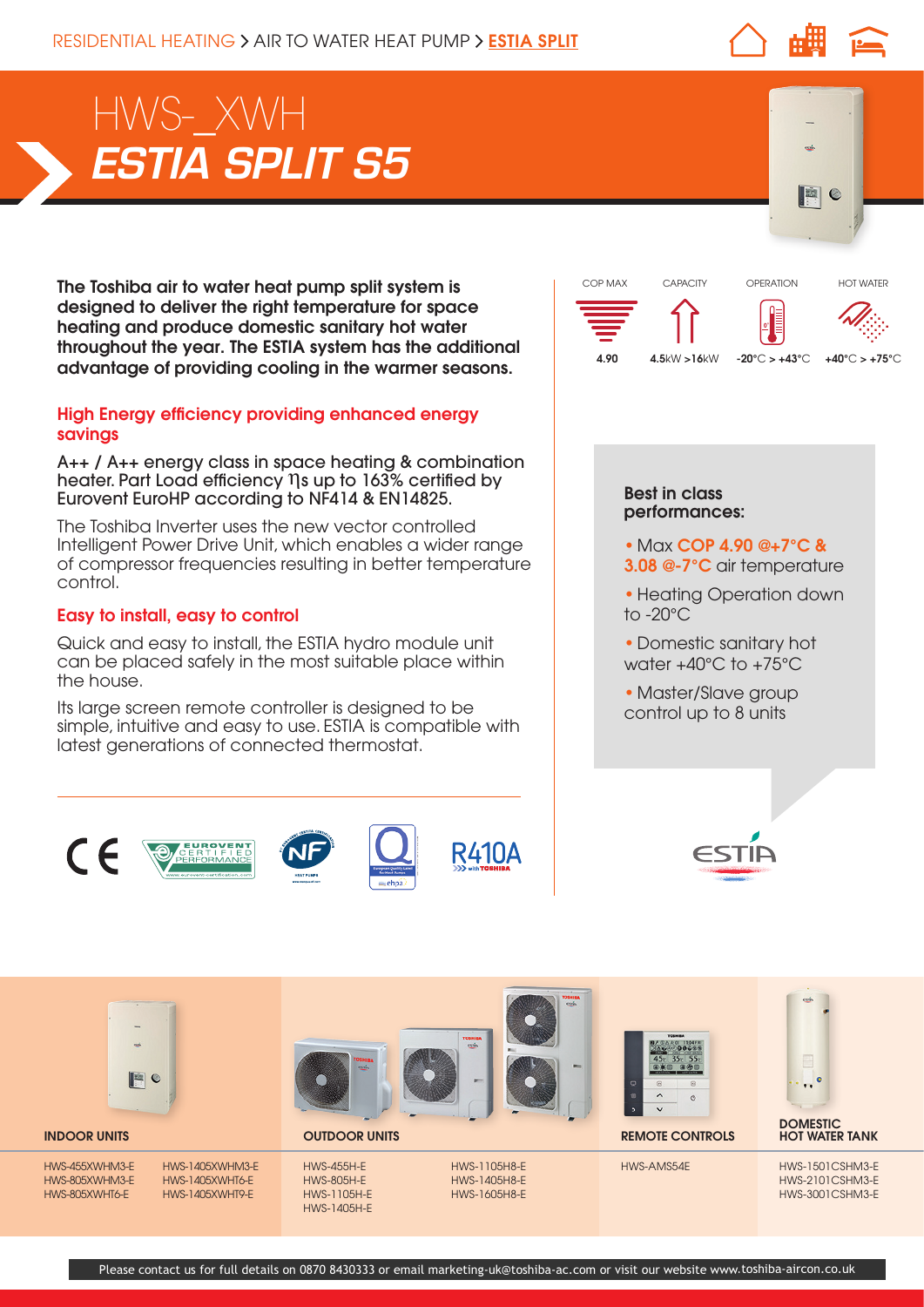$\mathbf c$ 

# *ESTIA SPLIT S5* HWS-\_XWH

The Toshiba air to water heat pump split system is designed to deliver the right temperature for space heating and produce domestic sanitary hot water throughout the year. The ESTIA system has the additional advantage of providing cooling in the warmer seasons.

### High Energy efficiency providing enhanced energy savings

A++ / A++ energy class in space heating & combination heater. Part Load efficiency ηs up to 163% certified by Eurovent EuroHP according to NF414 & EN14825.

The Toshiba Inverter uses the new vector controlled Intelligent Power Drive Unit, which enables a wider range of compressor frequencies resulting in better temperature control.

## Easy to install, easy to control

Quick and easy to install, the ESTIA hydro module unit can be placed safely in the most suitable place within the house.

Its large screen remote controller is designed to be simple, intuitive and easy to use. ESTIA is compatible with latest generations of connected thermostat.





### Best in class performances:

- Max COP 4.90 @+7°C &
- 3.08 @-7°C air temperature
- Heating Operation down to -20°C
- Domestic sanitary hot water +40°C to +75°C
- Master/Slave group control up to 8 units